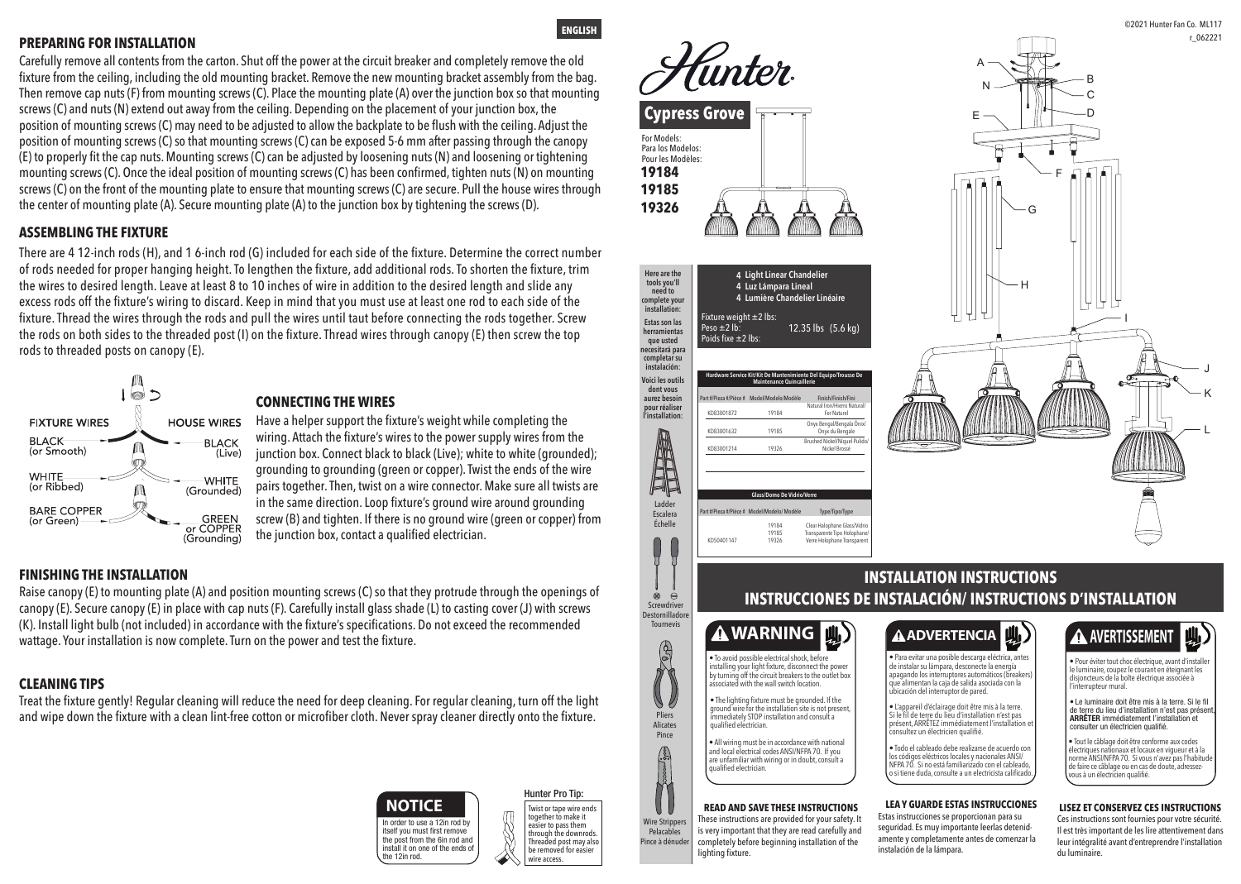## **INSTALLATION INSTRUCTIONS INSTRUCCIONES DE INSTALACIÓN/ INSTRUCTIONS D'INSTALLATION**



# **A** AVERTISSEMENT



**Here are the** 

lighting fixture.

#### **LEA Y GUARDE ESTAS INSTRUCCIONES**

Estas instrucciones se proporcionan para su seguridad. Es muy importante leerlas detenid amente y completamente antes de comenzar la instalación de la lámpara.

#### **LISEZ ET CONSERVEZ CES INSTRUCTIONS**

• Para evitar una posible descarga eléctrica, antes de instalar su lámpara, desconecte la energía apagando los interruptores automáticos (breakers) que alimentan la caja de salida asociada con la<br>ubicación del interruptor de pared.

> Ces instructions sont fournies pour votre sécurité. Il est très important de les lire attentivement dans leur intégralité avant d'entreprendre l'installation du luminaire.

• L'appareil d'éclairage doit être mis à la terre. Si le fil de terre du lieu d'installation n'est pas présent, ARRÊTEZ immédiatement l'installation

• Tout le câblage doit être conforme aux codes électriques nationaux et locaux en vigueur et à la norme ANSI/NFPA 70. Si vous n'avez pas l'habitud de faire ce câblage ou en cas de doute, adressezous à un électricien qualifie

• Todo el cableado debe realizarse de acuerdo con los códigos eléctricos locales y nacionales ANSI/ NFPA 70. Si no está familiarizado con el cableado, o si tiene duda, consulte a un electricista calificado.

| Hunter<br><b>Cypress Grove</b>                                 |  |  |
|----------------------------------------------------------------|--|--|
| For Models:<br>Para los Modelos:<br>Pour les Modèles:<br>19184 |  |  |
| 19185<br>19326                                                 |  |  |





• Pour éviter tout choc électrique, avant d'installer le luminaire, coupez le courant en éteignant les disjoncteurs de la boîte électrique associée à l'interrupteur mural.

• Le luminaire doit être mis à la terre. Si le fil de terre du lieu d'installation n'est pas présent ARRÊTER immédiatement l'installation et consulter un électricien qualifié.

**ENGLISH**



 **Light Linear Chandelier**

#### Twist or tape wire ends together to make it easier to pass them through the downrods. Threaded post mav also be removed for easier







#### **FINISHING THE INSTALLATION**

### **CONNECTING THE WIRES**

#### **ASSEMBLING THE FIXTURE**

#### **PREPARING FOR INSTALLATION**

### **CLEANING TIPS**

Treat the fixture gently! Regular cleaning will reduce the need for deep cleaning. For regular cleaning, turn off the light and wipe down the fixture with a clean lint-free cotton or microfiber cloth. Never spray cleaner directly onto the fixture.

Carefully remove all contents from the carton. Shut off the power at the circuit breaker and completely remove the old fixture from the ceiling, including the old mounting bracket. Remove the new mounting bracket assembly from the bag. Then remove cap nuts (F) from mounting screws (C). Place the mounting plate (A) over the junction box so that mounting screws (C) and nuts (N) extend out away from the ceiling. Depending on the placement of your junction box, the position of mounting screws (C) may need to be adjusted to allow the backplate to be flush with the ceiling. Adjust the position of mounting screws (C) so that mounting screws (C) can be exposed 5-6 mm after passing through the canopy (E) to properly fit the cap nuts. Mounting screws (C) can be adjusted by loosening nuts (N) and loosening or tightening mounting screws (C). Once the ideal position of mounting screws (C) has been confirmed, tighten nuts (N) on mounting screws (C) on the front of the mounting plate to ensure that mounting screws (C) are secure. Pull the house wires through the center of mounting plate (A). Secure mounting plate (A) to the junction box by tightening the screws (D).

There are 4 12-inch rods (H), and 1 6-inch rod (G) included for each side of the fixture. Determine the correct number of rods needed for proper hanging height. To lengthen the fixture, add additional rods. To shorten the fixture, trim the wires to desired length. Leave at least 8 to 10 inches of wire in addition to the desired length and slide any excess rods off the fixture's wiring to discard. Keep in mind that you must use at least one rod to each side of the fixture. Thread the wires through the rods and pull the wires until taut before connecting the rods together. Screw the rods on both sides to the threaded post (I) on the fixture. Thread wires through canopy (E) then screw the top rods to threaded posts on canopy (E).



Have a helper support the fixture's weight while completing the wiring. Attach the fixture's wires to the power supply wires from the junction box. Connect black to black (Live); white to white (grounded); grounding to grounding (green or copper). Twist the ends of the wire pairs together. Then, twist on a wire connector. Make sure all twists are in the same direction. Loop fixture's ground wire around grounding screw (B) and tighten. If there is no ground wire (green or copper) from the junction box, contact a qualified electrician.

Raise canopy (E) to mounting plate (A) and position mounting screws (C) so that they protrude through the openings of canopy (E). Secure canopy (E) in place with cap nuts (F). Carefully install glass shade (L) to casting cover (J) with screws (K). Install light bulb (not included) in accordance with the fixture's specifications. Do not exceed the recommended wattage. Your installation is now complete. Turn on the power and test the fixture.